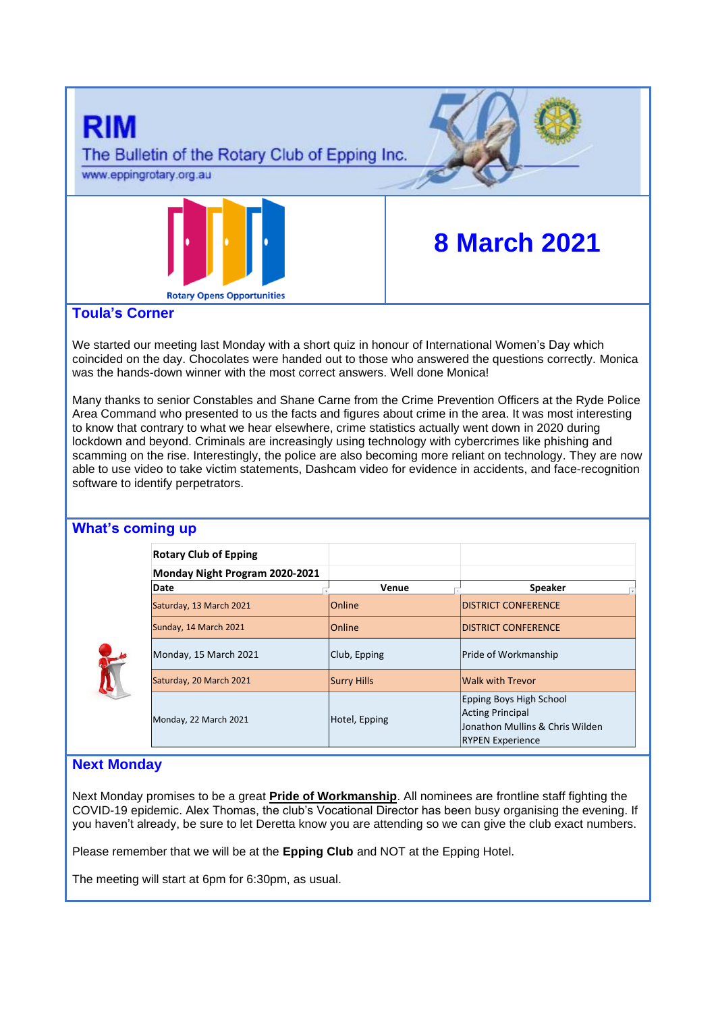

## **Toula's Corner**

We started our meeting last Monday with a short quiz in honour of International Women's Day which coincided on the day. Chocolates were handed out to those who answered the questions correctly. Monica was the hands-down winner with the most correct answers. Well done Monica!

Many thanks to senior Constables and Shane Carne from the Crime Prevention Officers at the Ryde Police Area Command who presented to us the facts and figures about crime in the area. It was most interesting to know that contrary to what we hear elsewhere, crime statistics actually went down in 2020 during lockdown and beyond. Criminals are increasingly using technology with cybercrimes like phishing and scamming on the rise. Interestingly, the police are also becoming more reliant on technology. They are now able to use video to take victim statements, Dashcam video for evidence in accidents, and face-recognition software to identify perpetrators.

## **What's coming up**

| <b>Rotary Club of Epping</b>   |                    |                                                                                                                  |
|--------------------------------|--------------------|------------------------------------------------------------------------------------------------------------------|
| Monday Night Program 2020-2021 |                    |                                                                                                                  |
| Date                           | Venue              | <b>Speaker</b>                                                                                                   |
| Saturday, 13 March 2021        | <b>Online</b>      | <b>IDISTRICT CONFERENCE</b>                                                                                      |
| Sunday, 14 March 2021          | <b>Online</b>      | <b>IDISTRICT CONFERENCE</b>                                                                                      |
| Monday, 15 March 2021          | Club, Epping       | <b>Pride of Workmanship</b>                                                                                      |
| Saturday, 20 March 2021        | <b>Surry Hills</b> | <b>Walk with Trevor</b>                                                                                          |
| Monday, 22 March 2021          | Hotel, Epping      | Epping Boys High School<br><b>Acting Principal</b><br>Jonathon Mullins & Chris Wilden<br><b>RYPEN Experience</b> |

# **Next Monday**

Next Monday promises to be a great **Pride of Workmanship**. All nominees are frontline staff fighting the COVID-19 epidemic. Alex Thomas, the club's Vocational Director has been busy organising the evening. If you haven't already, be sure to let Deretta know you are attending so we can give the club exact numbers.

Please remember that we will be at the **Epping Club** and NOT at the Epping Hotel.

The meeting will start at 6pm for 6:30pm, as usual.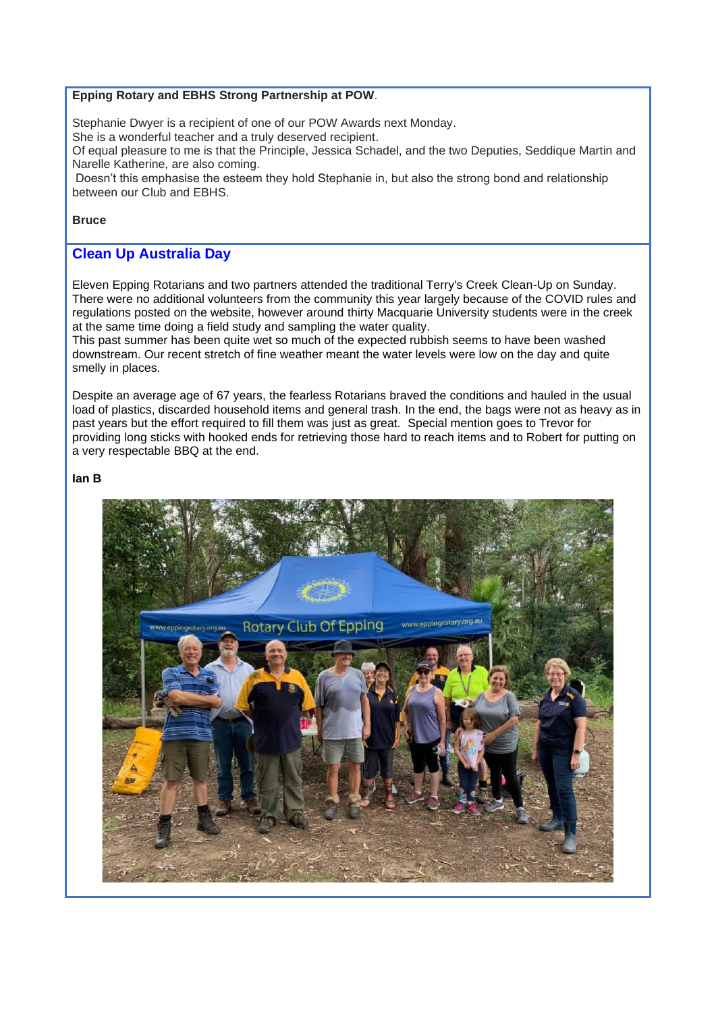#### **Epping Rotary and EBHS Strong Partnership at POW**.

Stephanie Dwyer is a recipient of one of our POW Awards next Monday.

She is a wonderful teacher and a truly deserved recipient.

Of equal pleasure to me is that the Principle, Jessica Schadel, and the two Deputies, Seddique Martin and Narelle Katherine, are also coming.

Doesn't this emphasise the esteem they hold Stephanie in, but also the strong bond and relationship between our Club and EBHS.

#### **Bruce**

## **Clean Up Australia Day**

Eleven Epping Rotarians and two partners attended the traditional Terry's Creek Clean-Up on Sunday. There were no additional volunteers from the community this year largely because of the COVID rules and regulations posted on the website, however around thirty Macquarie University students were in the creek at the same time doing a field study and sampling the water quality.

This past summer has been quite wet so much of the expected rubbish seems to have been washed downstream. Our recent stretch of fine weather meant the water levels were low on the day and quite smelly in places.

Despite an average age of 67 years, the fearless Rotarians braved the conditions and hauled in the usual load of plastics, discarded household items and general trash. In the end, the bags were not as heavy as in past years but the effort required to fill them was just as great. Special mention goes to Trevor for providing long sticks with hooked ends for retrieving those hard to reach items and to Robert for putting on a very respectable BBQ at the end.

#### **Ian B**

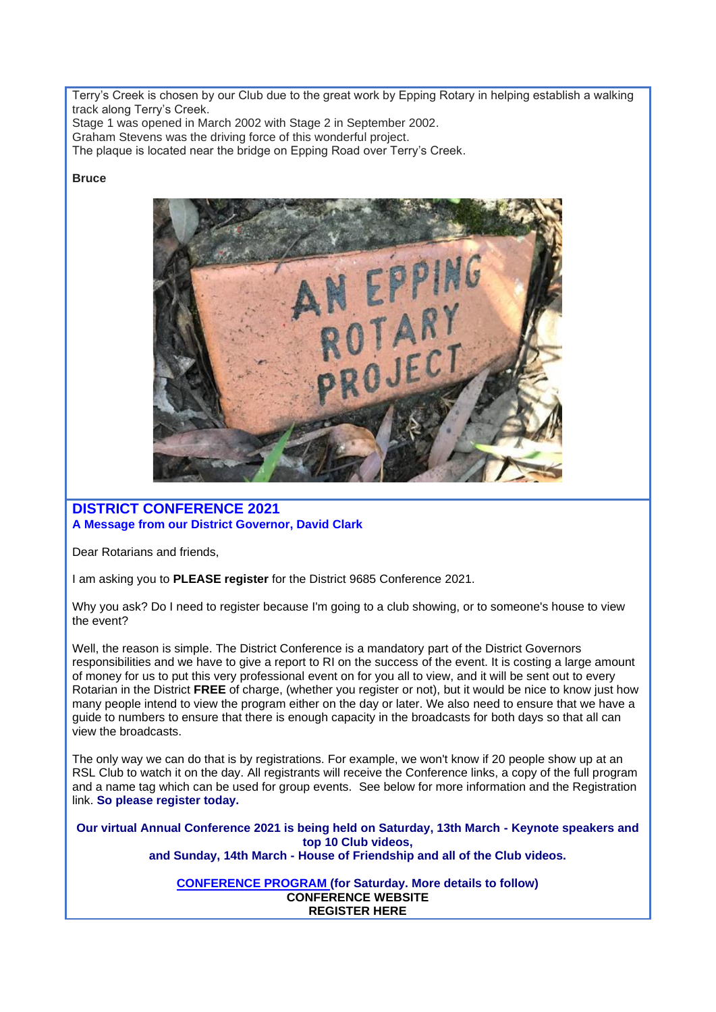Terry's Creek is chosen by our Club due to the great work by Epping Rotary in helping establish a walking track along Terry's Creek.

Stage 1 was opened in March 2002 with Stage 2 in September 2002.

Graham Stevens was the driving force of this wonderful project.

The plaque is located near the bridge on Epping Road over Terry's Creek.

#### **Bruce**



## **DISTRICT CONFERENCE 2021 A Message from our District Governor, David Clark**

Dear Rotarians and friends,

I am asking you to **PLEASE register** for the District 9685 Conference 2021.

Why you ask? Do I need to register because I'm going to a club showing, or to someone's house to view the event?

Well, the reason is simple. The District Conference is a mandatory part of the District Governors responsibilities and we have to give a report to RI on the success of the event. It is costing a large amount of money for us to put this very professional event on for you all to view, and it will be sent out to every Rotarian in the District **FREE** of charge, (whether you register or not), but it would be nice to know just how many people intend to view the program either on the day or later. We also need to ensure that we have a guide to numbers to ensure that there is enough capacity in the broadcasts for both days so that all can view the broadcasts.

The only way we can do that is by registrations. For example, we won't know if 20 people show up at an RSL Club to watch it on the day. All registrants will receive the Conference links, a copy of the full program and a name tag which can be used for group events. See below for more information and the Registration link. **So please register today.** 

**Our virtual Annual Conference 2021 is being held on Saturday, 13th March - Keynote speakers and top 10 Club videos, and Sunday, 14th March - House of Friendship and all of the Club videos.**

> **[CONFERENCE PROGRAM](https://apac01.safelinks.protection.outlook.com/?url=https%3A%2F%2Fportal.clubrunner.ca%2F50081%2FDocuments%2Fen-au%2Fa2164ca3-8621-4e1c-8565-86f79f8055f6%2F1%2F&data=04%7C01%7C%7C50fa8a830305450b089408d8d6c60708%7C84df9e7fe9f640afb435aaaaaaaaaaaa%7C1%7C0%7C637495493294566663%7CUnknown%7CTWFpbGZsb3d8eyJWIjoiMC4wLjAwMDAiLCJQIjoiV2luMzIiLCJBTiI6Ik1haWwiLCJXVCI6Mn0%3D%7C1000&sdata=rkMtx5s6fSeTlIqnho3WSCL7D3QFjnYJiYwFv0nqjVo%3D&reserved=0) (for Saturday. More details to follow) [CONFERENCE WEBSITE](https://apac01.safelinks.protection.outlook.com/?url=https%3A%2F%2Fwww.district9685conference2021.com%2F&data=04%7C01%7C%7C50fa8a830305450b089408d8d6c60708%7C84df9e7fe9f640afb435aaaaaaaaaaaa%7C1%7C0%7C637495493294576656%7CUnknown%7CTWFpbGZsb3d8eyJWIjoiMC4wLjAwMDAiLCJQIjoiV2luMzIiLCJBTiI6Ik1haWwiLCJXVCI6Mn0%3D%7C1000&sdata=mr3uEgvM80UWnp%2Bges8SJlAlzq8DH9G%2FF58XjtHWev0%3D&reserved=0) [REGISTER HERE](https://apac01.safelinks.protection.outlook.com/?url=https%3A%2F%2Fwww.crsadmin.com%2FEventPortal%2FRegistrations%2FPublicFill%2FEventPublicFill.aspx%3Fevtid%3Dd3656b40-52ee-4293-9942-b19d6df5956f&data=04%7C01%7C%7C50fa8a830305450b089408d8d6c60708%7C84df9e7fe9f640afb435aaaaaaaaaaaa%7C1%7C0%7C637495493294586651%7CUnknown%7CTWFpbGZsb3d8eyJWIjoiMC4wLjAwMDAiLCJQIjoiV2luMzIiLCJBTiI6Ik1haWwiLCJXVCI6Mn0%3D%7C1000&sdata=IXriUvHCuQSndtcVBfYVHsmnnS0TbDoudyopOmyM6TQ%3D&reserved=0)**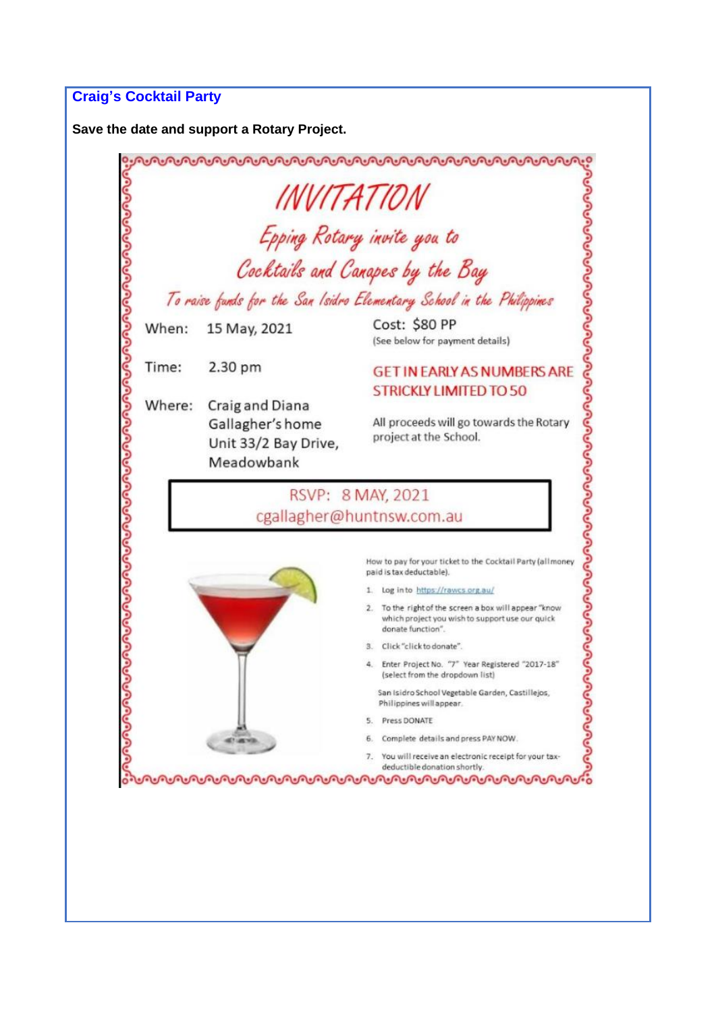## **Craig's Cocktail Party**

**Save the date and support a Rotary Project.**